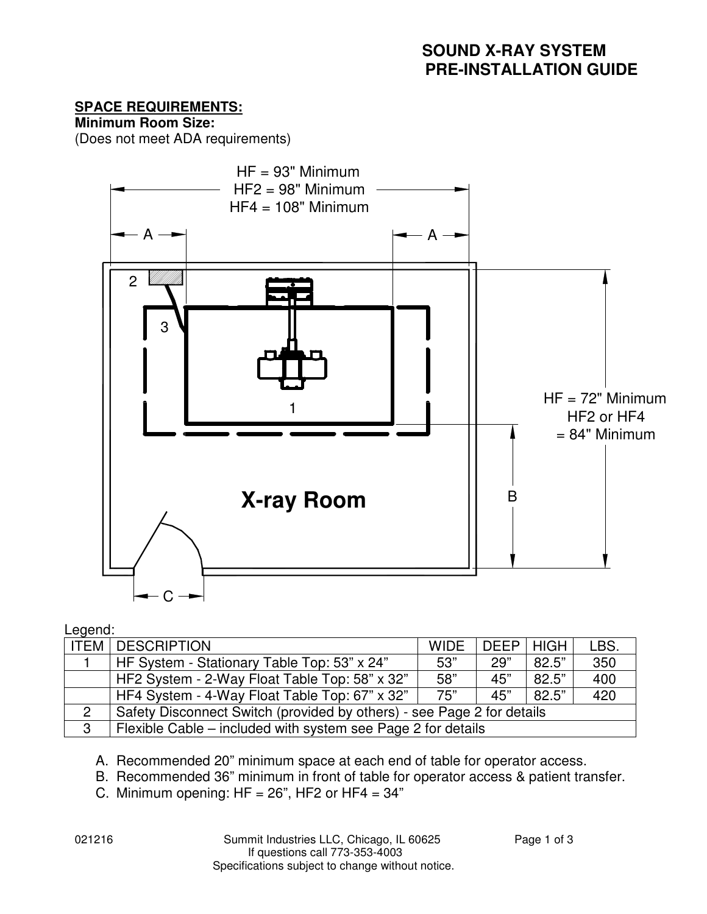## **SPACE REQUIREMENTS:**

**Minimum Room Size:** 

(Does not meet ADA requirements)



#### Legend:

| <b>ITEM</b> | <b>DESCRIPTION</b>                                                     | <b>WIDE</b> | <b>DEEP   HIGH</b> |       | LBS. |
|-------------|------------------------------------------------------------------------|-------------|--------------------|-------|------|
|             | HF System - Stationary Table Top: 53" x 24"                            | 53"         | 29"                | 82.5" | 350  |
|             | HF2 System - 2-Way Float Table Top: 58" x 32"                          | 58"         | 45"                | 82.5" | 400  |
|             | HF4 System - 4-Way Float Table Top: 67" x 32"                          | 75"         | 45"                | 82.5" | 420  |
|             | Safety Disconnect Switch (provided by others) - see Page 2 for details |             |                    |       |      |
| 3           | Flexible Cable – included with system see Page 2 for details           |             |                    |       |      |

A. Recommended 20" minimum space at each end of table for operator access.

B. Recommended 36" minimum in front of table for operator access & patient transfer.

C. Minimum opening:  $HF = 26$ ",  $HF2$  or  $HF4 = 34$ "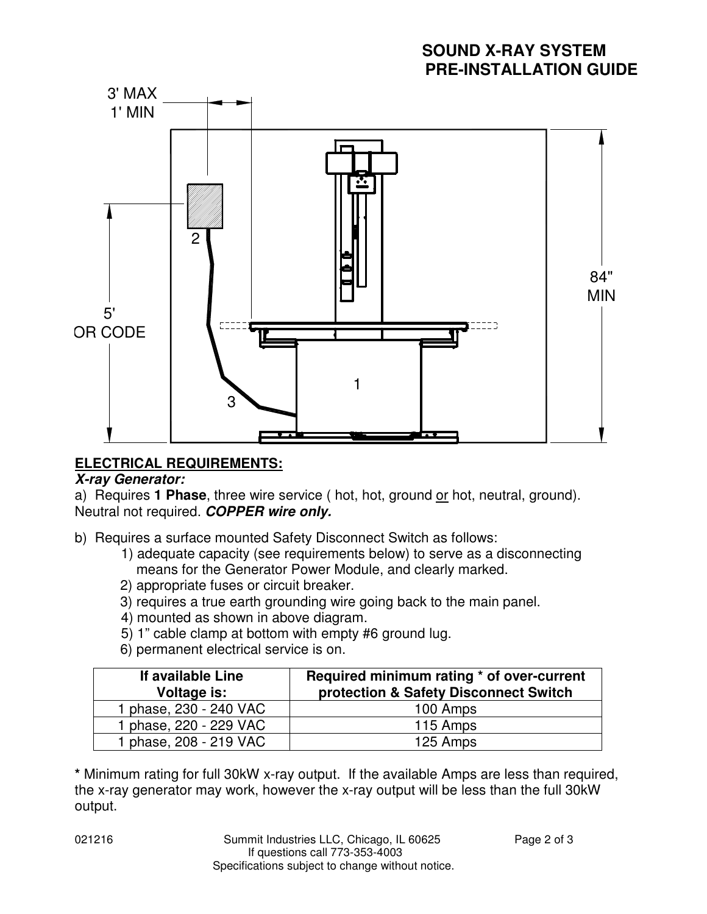## **SOUND X-RAY SYSTEM PRE-INSTALLATION GUIDE**



## **ELECTRICAL REQUIREMENTS:**

#### **X-ray Generator:**

a) Requires **1 Phase**, three wire service ( hot, hot, ground or hot, neutral, ground). Neutral not required. **COPPER wire only.** 

b) Requires a surface mounted Safety Disconnect Switch as follows:

- 1) adequate capacity (see requirements below) to serve as a disconnecting means for the Generator Power Module, and clearly marked.
- 2) appropriate fuses or circuit breaker.
- 3) requires a true earth grounding wire going back to the main panel.
- 4) mounted as shown in above diagram.
- 5) 1" cable clamp at bottom with empty #6 ground lug.
- 6) permanent electrical service is on.

| If available Line<br>Voltage is: | Required minimum rating * of over-current<br>protection & Safety Disconnect Switch |
|----------------------------------|------------------------------------------------------------------------------------|
| 1 phase, 230 - 240 VAC           | 100 Amps                                                                           |
| 1 phase, 220 - 229 VAC           | 115 Amps                                                                           |
| 1 phase, 208 - 219 VAC           | 125 Amps                                                                           |

**\*** Minimum rating for full 30kW x-ray output. If the available Amps are less than required, the x-ray generator may work, however the x-ray output will be less than the full 30kW output.